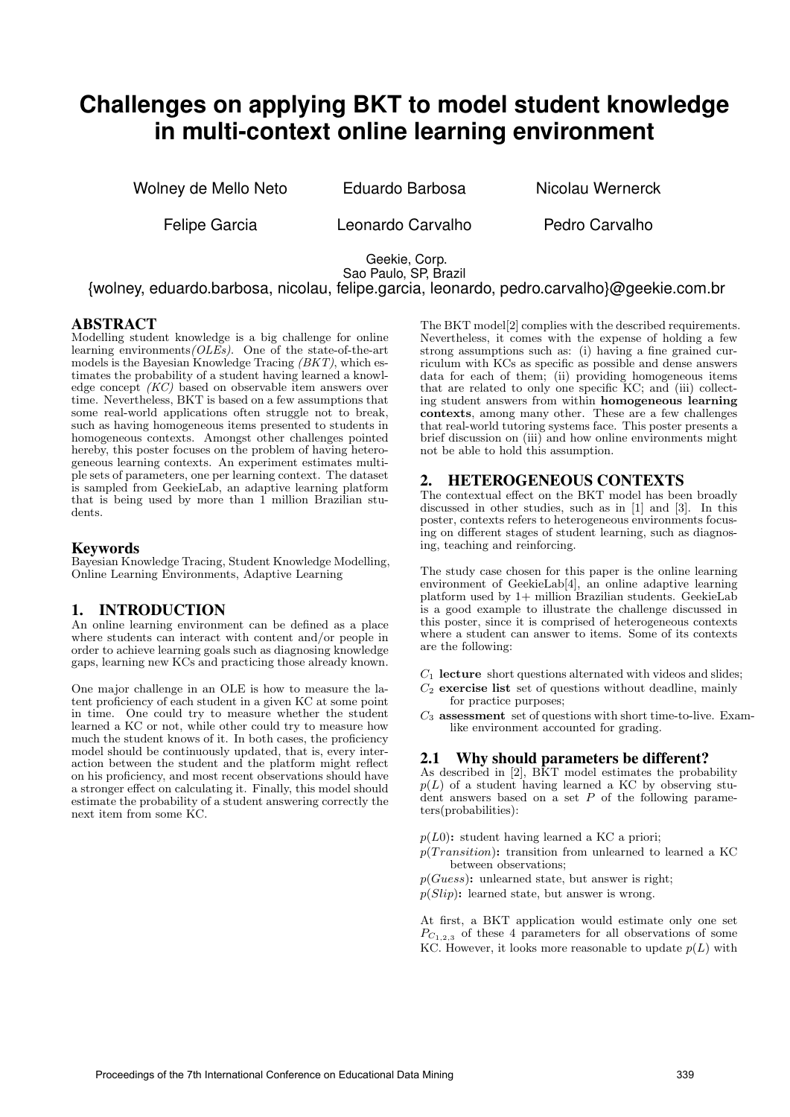# **Challenges on applying BKT to model student knowledge in multi-context online learning environment**

Wolney de Mello Neto **Eduardo Barbosa** Nicolau Wernerck

Felipe Garcia **Leonardo Carvalho** Pedro Carvalho

Geekie, Corp. Sao Paulo, SP, Brazil

{wolney, eduardo.barbosa, nicolau, felipe.garcia, leonardo, pedro.carvalho}@geekie.com.br

## ABSTRACT

Modelling student knowledge is a big challenge for online learning environments ( $OLES$ ). One of the state-of-the-art models is the Bayesian Knowledge Tracing (BKT), which estimates the probability of a student having learned a knowledge concept (KC) based on observable item answers over time. Nevertheless, BKT is based on a few assumptions that some real-world applications often struggle not to break, such as having homogeneous items presented to students in homogeneous contexts. Amongst other challenges pointed hereby, this poster focuses on the problem of having heterogeneous learning contexts. An experiment estimates multiple sets of parameters, one per learning context. The dataset is sampled from GeekieLab, an adaptive learning platform that is being used by more than 1 million Brazilian students.

# Keywords

Bayesian Knowledge Tracing, Student Knowledge Modelling, Online Learning Environments, Adaptive Learning

# 1. INTRODUCTION

An online learning environment can be defined as a place where students can interact with content and/or people in order to achieve learning goals such as diagnosing knowledge gaps, learning new KCs and practicing those already known.

One major challenge in an OLE is how to measure the latent proficiency of each student in a given KC at some point in time. One could try to measure whether the student learned a KC or not, while other could try to measure how much the student knows of it. In both cases, the proficiency model should be continuously updated, that is, every interaction between the student and the platform might reflect on his proficiency, and most recent observations should have a stronger effect on calculating it. Finally, this model should estimate the probability of a student answering correctly the next item from some KC.

The BKT model[2] complies with the described requirements. Nevertheless, it comes with the expense of holding a few strong assumptions such as: (i) having a fine grained curriculum with KCs as specific as possible and dense answers data for each of them; (ii) providing homogeneous items that are related to only one specific KC; and (iii) collecting student answers from within homogeneous learning contexts, among many other. These are a few challenges that real-world tutoring systems face. This poster presents a brief discussion on (iii) and how online environments might not be able to hold this assumption.

# 2. HETEROGENEOUS CONTEXTS

The contextual effect on the BKT model has been broadly discussed in other studies, such as in [1] and [3]. In this poster, contexts refers to heterogeneous environments focusing on different stages of student learning, such as diagnosing, teaching and reinforcing.

The study case chosen for this paper is the online learning environment of GeekieLab[4], an online adaptive learning platform used by 1+ million Brazilian students. GeekieLab is a good example to illustrate the challenge discussed in this poster, since it is comprised of heterogeneous contexts where a student can answer to items. Some of its contexts are the following:

 $C_1$  lecture short questions alternated with videos and slides;

- $C_2$  exercise list set of questions without deadline, mainly for practice purposes;
- $C_3$  assessment set of questions with short time-to-live. Examlike environment accounted for grading.

# 2.1 Why should parameters be different?

As described in [2], BKT model estimates the probability  $p(L)$  of a student having learned a KC by observing student answers based on  $a$  set  $P$  of the following parameters(probabilities):

 $p(L0)$ : student having learned a KC a priori;

- $p(Transition)$ : transition from unlearned to learned a KC between observations;
- $p(Guess)$ : unlearned state, but answer is right;

 $p(Slip)$ : learned state, but answer is wrong.

At first, a BKT application would estimate only one set  $P_{C_{1,2,3}}$  of these 4 parameters for all observations of some KC. However, it looks more reasonable to update  $p(L)$  with